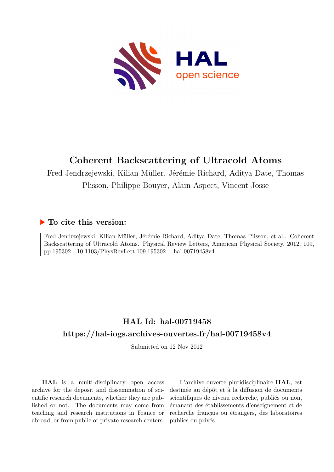

## **Coherent Backscattering of Ultracold Atoms**

Fred Jendrzejewski, Kilian Müller, Jérémie Richard, Aditya Date, Thomas Plisson, Philippe Bouyer, Alain Aspect, Vincent Josse

## **To cite this version:**

Fred Jendrzejewski, Kilian Müller, Jérémie Richard, Aditya Date, Thomas Plisson, et al.. Coherent Backscattering of Ultracold Atoms. Physical Review Letters, American Physical Society, 2012, 109, pp.195302. 10.1103/PhysRevLett.109.195302. hal-00719458v4

## **HAL Id: hal-00719458 <https://hal-iogs.archives-ouvertes.fr/hal-00719458v4>**

Submitted on 12 Nov 2012

**HAL** is a multi-disciplinary open access archive for the deposit and dissemination of scientific research documents, whether they are published or not. The documents may come from teaching and research institutions in France or abroad, or from public or private research centers.

L'archive ouverte pluridisciplinaire **HAL**, est destinée au dépôt et à la diffusion de documents scientifiques de niveau recherche, publiés ou non, émanant des établissements d'enseignement et de recherche français ou étrangers, des laboratoires publics ou privés.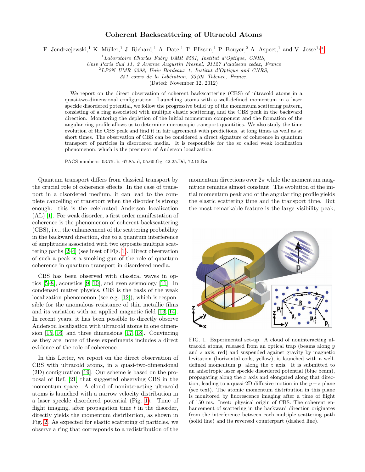## Coherent Backscattering of Ultracold Atoms

F. Jendrzejewski,<sup>1</sup> K. Müller,<sup>1</sup> J. Richard,<sup>1</sup> A. Date,<sup>1</sup> T. Plisson,<sup>1</sup> P. Bouyer,<sup>2</sup> A. Aspect,<sup>1</sup> and V. Josse<sup>1,∗</sup>

 $1$ Laboratoire Charles Fabry UMR 8501, Institut d'Optique, CNRS,

Univ Paris Sud 11, 2 Avenue Augustin Fresnel, 91127 Palaiseau cedex, France

 $2 LP2N$  UMR 5298, Univ Bordeaux 1, Institut d'Optique and CNRS,

351 cours de la Libération, 33405 Talence, France.

(Dated: November 12, 2012)

We report on the direct observation of coherent backscattering (CBS) of ultracold atoms in a quasi-two-dimensional configuration. Launching atoms with a well-defined momentum in a laser speckle disordered potential, we follow the progressive build up of the momentum scattering pattern, consisting of a ring associated with multiple elastic scattering, and the CBS peak in the backward direction. Monitoring the depletion of the initial momentum component and the formation of the angular ring profile allows us to determine microscopic transport quantities. We also study the time evolution of the CBS peak and find it in fair agreement with predictions, at long times as well as at short times. The observation of CBS can be considered a direct signature of coherence in quantum transport of particles in disordered media. It is responsible for the so called weak localization phenomenon, which is the precursor of Anderson localization.

PACS numbers: 03.75.-b, 67.85.-d, 05.60.Gg, 42.25.Dd, 72.15.Rn

Quantum transport differs from classical transport by the crucial role of coherence effects. In the case of transport in a disordered medium, it can lead to the complete cancelling of transport when the disorder is strong enough: this is the celebrated Anderson localization (AL) [1]. For weak disorder, a first order manifestation of coherence is the phenomenon of coherent backscattering (CBS), i.e., the enhancement of the scattering probability in the backward direction, due to a quantum interference of amplitudes associated with two opposite multiple scattering paths [2–4] (see inset of Fig. 1). Direct observation of such a peak is a smoking gun of the role of quantum coherence in quantum transport in disordered media.

CBS has been observed with classical waves in optics [5–8], acoustics [9, 10], and even seismology [11]. In condensed matter physics, CBS is the basis of the weak localization phenomenon (see e.g. [12]), which is responsible for the anomalous resistance of thin metallic films and its variation with an applied magnetic field [13, 14]. In recent years, it has been possible to directly observe Anderson localization with ultracold atoms in one dimension [15, 16] and three dimensions [17, 18]. Convincing as they are, none of these experiments includes a direct evidence of the role of coherence.

In this Letter, we report on the direct observation of CBS with ultracold atoms, in a quasi-two-dimensional (2D) configuration [19]. Our scheme is based on the proposal of Ref. [21] that suggested observing CBS in the momentum space. A cloud of noninteracting ultracold atoms is launched with a narrow velocity distribution in a laser speckle disordered potential (Fig. 1). Time of flight imaging, after propagation time  $t$  in the disorder, directly yields the momentum distribution, as shown in Fig. 2. As expected for elastic scattering of particles, we observe a ring that corresponds to a redistribution of the

momentum directions over  $2\pi$  while the momentum magnitude remains almost constant. The evolution of the initial momentum peak and of the angular ring profile yields the elastic scattering time and the transport time. But the most remarkable feature is the large visibility peak,



FIG. 1. Experimental set-up. A cloud of noninteracting ultracold atoms, released from an optical trap (beams along y and z axis, red) and suspended against gravity by magnetic levitation (horizontal coils, yellow), is launched with a welldefined momentum  $\mathbf{p}_i$  along the z axis. It is submitted to an anisotropic laser speckle disordered potential (blue beam), propagating along the x axis and elongated along that direction, leading to a quasi-2D diffusive motion in the  $y - z$  plane (see text). The atomic momentum distribution in this plane is monitored by fluorescence imaging after a time of flight of 150 ms. Inset: physical origin of CBS. The coherent enhancement of scattering in the backward direction originates from the interference between each multiple scattering path (solid line) and its reversed counterpart (dashed line).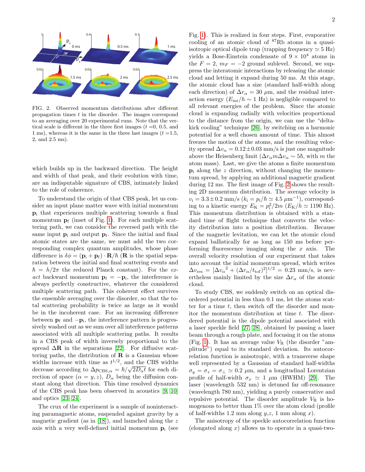

FIG. 2. Observed momentum distributions after different propagation times  $t$  in the disorder. The images correspond to an averaging over 20 experimental runs. Note that the vertical scale is different in the three first images  $(t = 0, 0.5, \text{ and})$ 1 ms), whereas it is the same in the three last images  $(t = 1.5,$ 2, and 2.5 ms).

0.02

which builds up in the backward direction. The height and width of that peak, and their evolution with time, are an indisputable signature of CBS, intimately linked to the role of coherence.

To understand the origin of that CBS peak, let us consider an input plane matter wave with initial momentum p<sup>i</sup> that experiences multiple scattering towards a final momentum  $\mathbf{p}_f$  (inset of Fig. 1). For each multiple scattering path, we can consider the reversed path with the same input  $\mathbf{p}_i$  and output  $\mathbf{p}_f$ . Since the initial and final atomic states are the same, we must add the two corresponding complex quantum amplitudes, whose phase difference is  $\delta \phi = (\mathbf{p}_i + \mathbf{p}_f) \cdot \mathbf{R} / \hbar$  (**R** is the spatial separation between the initial and final scattering events and  $\hbar = h/2\pi$  the reduced Planck constant). For the ex*act* backward momentum  $\mathbf{p}_f = -\mathbf{p}_i$ , the interference is always perfectly constructive, whatever the considered multiple scattering path. This coherent effect survives the ensemble averaging over the disorder, so that the total scattering probability is twice as large as it would be in the incoherent case. For an increasing difference between  $\mathbf{p}_f$  and  $-\mathbf{p}_i$ , the interference pattern is progressively washed out as we sum over all interference patterns associated with all multiple scattering paths. It results in a CBS peak of width inversely proportional to the spread  $\Delta \mathbf{R}$  in the separations [22]. For diffusive scattering paths, the distribution of  $\bf{R}$  is a Gaussian whose widths increase with time as  $t^{1/2}$ , and the CBS widths decrease according to  $\Delta p_{\text{CBS},\alpha} = \hbar / \sqrt{2D_{\alpha}t}$  for each direction of space  $(\alpha = y, z)$ ,  $D_{\alpha}$  being the diffusion constant along that direction. This time resolved dynamics of the CBS peak has been observed in acoustics [9, 10] and optics [23, 24].

The crux of the experiment is a sample of noninteracting paramagnetic atoms, suspended against gravity by a magnetic gradient (as in  $[18]$ ), and launched along the z axis with a very well-defined initial momentum  $\mathbf{p}_i$  (see Fig. 1). This is realized in four steps. First, evaporative cooling of an atomic cloud of <sup>87</sup>Rb atoms in a quasiisotropic optical dipole trap (trapping frequency  $\simeq$  5 Hz) yields a Bose-Einstein condensate of  $9 \times 10^4$  atoms in the  $F = 2$ ,  $m_F = -2$  ground sublevel. Second, we suppress the interatomic interactions by releasing the atomic cloud and letting it expand during 50 ms. At this stage, the atomic cloud has a size (standard half-width along each direction) of  $\Delta r_{\alpha} = 30 \mu$ m, and the residual interaction energy  $(E_{\text{int}}/h \sim 1 \text{ Hz})$  is negligible compared to all relevant energies of the problem. Since the atomic cloud is expanding radially with velocities proportional to the distance from the origin, we can use the "deltakick cooling" technique [26], by switching on a harmonic potential for a well chosen amount of time. This almost freezes the motion of the atoms, and the resulting velocity spread  $\Delta v_{\alpha} = 0.12 \pm 0.03$  mm/s is just one magnitude above the Heisenberg limit  $(\Delta r_{\alpha} m \Delta v_{\alpha} \sim 5\hbar, \text{ with } m \text{ the}$ atom mass). Last, we give the atoms a finite momentum  $\mathbf{p}_i$  along the z direction, without changing the momentum spread, by applying an additional magnetic gradient during 12 ms. The first image of Fig. 2 shows the resulting 2D momentum distribution. The average velocity is  $v_i = 3.3 \pm 0.2$  mm/s  $(k_i = p_i/\hbar \simeq 4.5 \ \mu m^{-1})$ , corresponding to a kinetic energy  $E_K = p_i^2/2m$  ( $E_K/h \simeq 1190$  Hz). This momentum distribution is obtained with a standard time of flight technique that converts the velocity distribution into a position distribution. Because of the magnetic levitation, we can let the atomic cloud expand ballistically for as long as 150 ms before performing fluorescence imaging along the  $x$  axis. The overall velocity resolution of our experiment that takes into account the initial momentum spread, which writes  $\Delta v_{\rm res} = [\Delta v_{\alpha}^2 + (\Delta r_{\alpha}/t_{\rm tof})^2]^{1/2} = 0.23$  mm/s, is nevertheless mainly limited by the size  $\Delta r_{\alpha}$  of the atomic cloud.

To study CBS, we suddenly switch on an optical disordered potential in less than 0.1 ms, let the atoms scatter for a time  $t$ , then switch off the disorder and monitor the momentum distribution at time  $t$ . The disordered potential is the dipole potential associated with a laser speckle field [27, 28], obtained by passing a laser beam through a rough plate, and focusing it on the atoms (Fig. 1). It has an average value  $V_R$  (the disorder "amplitude") equal to its standard deviation. Its autocorrelation function is anisotropic, with a transverse shape well represented by a Gaussian of standard half-widths  $\sigma_y = \sigma_z = \sigma_\perp \simeq 0.2 \mu \text{m}$ , and a longitudinal Lorentzian profile of half-width  $\sigma_x \simeq 1 \mu m$  (HWHM) [29]. The laser (wavelength 532 nm) is detuned far off-resonance (wavelength 780 nm), yielding a purely conservative and repulsive potential. The disorder amplitude  $V_{\rm R}$  is homogenous to better than 1% over the atom cloud (profile of half-widths 1.2 mm along  $y, z$ , 1 mm along x).

The anisotropy of the speckle autocorrelation function (elongated along  $x$ ) allows us to operate in a quasi-two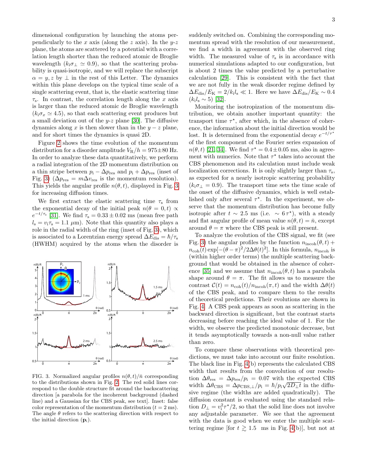dimensional configuration by launching the atoms perpendicularly to the x axis (along the z axis). In the  $y-z$ plane, the atoms are scattered by a potential with a correlation length shorter than the reduced atomic de Broglie wavelength  $(k_i \sigma_1 \simeq 0.9)$ , so that the scattering probability is quasi-isotropic, and we will replace the subscript  $\alpha = y, z$  by  $\perp$  in the rest of this Letter. The dynamics within this plane develops on the typical time scale of a single scattering event, that is, the elastic scattering time  $\tau_s$ . In contrast, the correlation length along the x axis is larger than the reduced atomic de Broglie wavelength  $(k_1 \sigma_x \simeq 4.5)$ , so that each scattering event produces but a small deviation out of the  $y-z$  plane [30]. The diffusive dynamics along x is then slower than in the  $y - z$  plane, and for short times the dynamics is quasi 2D.

Figure 2 shows the time evolution of the momentum distribution for a disorder amplitude  $V_R/h = 975 \pm 80$  Hz. In order to analyze these data quantitatively, we perform a radial integration of the 2D momentum distribution on a thin stripe between  $p_i - \Delta p_{\text{res}}$  and  $p_i + \Delta p_{\text{res}}$  (inset of Fig. 3) ( $\Delta p_{\rm res} = m \Delta v_{\rm res}$  is the momentum resolution). This yields the angular profile  $n(\theta, t)$ , displayed in Fig. 3 for increasing diffusion times.

We first extract the elastic scattering time  $\tau_s$  from the exponential decay of the initial peak  $n(\theta = 0, t) \propto$  $e^{-t/\tau_s}$  [31]. We find  $\tau_s = 0.33 \pm 0.02$  ms (mean free path  $l_s = v_i \tau_s = 1.1 \mu m$ . Note that this quantity also plays a role in the radial width of the ring (inset of Fig. 3), which is associated to a Lorentzian energy spread  $\Delta E_{\text{dis}} = \hbar / \tau_{\text{s}}$ (HWHM) acquired by the atoms when the disorder is



FIG. 3. Normalized angular profiles  $n(\theta, t)/\bar{n}$  corresponding to the distributions shown in Fig. 2. The red solid lines correspond to the double structure fit around the backscattering direction [a parabola for the incoherent background (dashed line) and a Gaussian for the CBS peak, see text]. Inset: false color representation of the momentum distribution  $(t = 2 \text{ ms})$ . The angle  $\theta$  refers to the scattering direction with respect to the initial direction  $(p_i)$ .

suddenly switched on. Combining the corresponding momentum spread with the resolution of our measurement, we find a width in agreement with the observed ring width. The measured value of  $\tau_s$  is in accordance with numerical simulations adapted to our configuration, but is about 2 times the value predicted by a perturbative calculation [29]. This is consistent with the fact that we are not fully in the weak disorder regime defined by  $\Delta E_{\text{dis}}/E_{\text{K}} = 2/k_{\text{i}} l_{\text{s}} \ll 1$ . Here we have  $\Delta E_{\text{dis}}/E_{\text{K}} \sim 0.4$  $(k_1 l_s \sim 5)$  [32].

Monitoring the isotropization of the momentum distribution, we obtain another important quantity: the transport time  $\tau^*$ , after which, in the absence of coherence, the information about the initial direction would be lost. It is determined from the exponential decay  $e^{-t/\tau^*}$ of the first component of the Fourier series expansion of  $n(\theta, t)$  [21, 34]. We find  $\tau^* = 0.4 \pm 0.05$  ms, also in agreement with numerics. Note that  $\tau^*$  takes into account the CBS phenomenon and its calculation must include weak localization corrections. It is only slightly larger than  $\tau_s$ , as expected for a nearly isotropic scattering probability  $(k_i \sigma_{\perp} = 0.9)$ . The transport time sets the time scale of the onset of the diffusive dynamics, which is well established only after several  $\tau^*$ . In the experiment, we observe that the momentum distribution has become fully isotropic after  $t \sim 2.5$  ms (i.e.  $\sim 6 \tau^*$ ), with a steady and flat angular profile of mean value  $n(\theta, t) = \bar{n}$ , except around  $\theta = \pi$  where the CBS peak is still present.

To analyze the evolution of the CBS signal, we fit (see Fig. 3) the angular profiles by the function  $n_{\text{incoh}}(\theta, t)$  +  $n_{\text{coh}}(t) \exp[-(\theta - \pi)^2/2\Delta\theta(t)^2]$ . In this formula,  $n_{\text{incoh}}$  is (within higher order terms) the multiple scattering background that would be obtained in the absence of coherence [35] and we assume that  $n_{\text{incoh}}(\theta, t)$  has a parabola shape around  $\theta = \pi$ . The fit allows us to measure the contrast  $\mathcal{C}(t) = n_{\text{coh}}(t)/n_{\text{incoh}}(\pi, t)$  and the width  $\Delta\theta(t)$ of the CBS peak, and to compare them to the results of theoretical predictions. Their evolutions are shown in Fig. 4. A CBS peak appears as soon as scattering in the backward direction is significant, but the contrast starts decreasing before reaching the ideal value of 1. For the width, we observe the predicted monotonic decrease, but it tends asymptotically towards a non-null value rather than zero.

To compare these observations with theoretical predictions, we must take into account our finite resolution. The black line in Fig. 4(b) represents the calculated CBS width that results from the convolution of our resolution  $\Delta\theta_{\rm res} = \Delta p_{\rm res}/p_i = 0.07$  with the expected CBS width  $\Delta\theta_{\text{CBS}} = \Delta p_{\text{CBS},\perp}/p_i = \hbar/p_i\sqrt{2D_\perp t}$  in the diffusive regime (the widths are added quadratically). The diffusion constant is evaluated using the standard relation  $D_{\perp} = v_i^2 \tau^{\star}/2$ , so that the solid line does not involve any adjustable parameter. We see that the agreement with the data is good when we enter the multiple scattering regime [for  $t \geq 1.5$  ms in Fig. 4(b)], but not at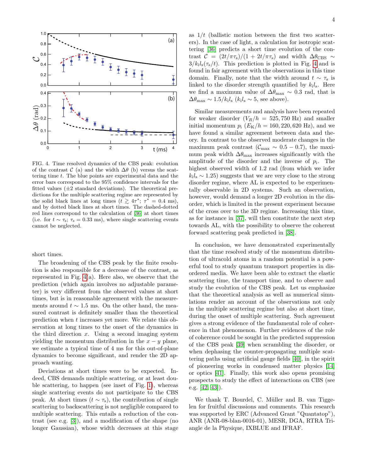

FIG. 4. Time resolved dynamics of the CBS peak: evolution of the contrast  $\mathcal{C}$  (a) and the width  $\Delta\theta$  (b) versus the scattering time  $t$ . The blue points are experimental data and the error bars correspond to the 95% confidence intervals for the fitted values  $(\pm 2 \text{ standard deviations})$ . The theoretical predictions for the multiple scattering regime are represented by the solid black lines at long times  $(t \geq 4\tau^*; \tau^* = 0.4 \text{ ms}),$ and by dotted black lines at short times. The dashed-dotted red lines correspond to the calculation of [36] at short times (i.e. for  $t \sim \tau_s$ ;  $\tau_s = 0.33$  ms), where single scattering events cannot be neglected.

short times.

The broadening of the CBS peak by the finite resolution is also responsible for a decrease of the contrast, as represented in Fig. 4(a). Here also, we observe that the prediction (which again involves no adjustable parameter) is very different from the observed values at short times, but is in reasonable agreement with the measurements around  $t \sim 1.5$  ms. On the other hand, the measured contrast is definitely smaller than the theoretical prediction when t increases yet more. We relate this observation at long times to the onset of the dynamics in the third direction  $x$ . Using a second imaging system yielding the momentum distribution in the  $x - y$  plane, we estimate a typical time of 4 ms for this out-of-plane dynamics to become significant, and render the 2D approach wanting.

Deviations at short times were to be expected. Indeed, CBS demands multiple scattering, or at least double scattering, to happen (see inset of Fig. 1), whereas single scattering events do not participate to the CBS peak. At short times  $(t \sim \tau_s)$ , the contribution of single scattering to backscattering is not negligible compared to multiple scattering. This entails a reduction of the contrast (see e.g. [3]), and a modification of the shape (no longer Gaussian), whose width decreases at this stage

as  $1/t$  (ballistic motion between the first two scatterers). In the case of light, a calculation for isotropic scattering [36] predicts a short time evolution of the contrast  $C = (2t/\pi\tau_s)/(1 + 2t/\pi\tau_s)$  and width  $\Delta\theta_{\text{CBS}} \sim$  $3/k_i l_s(\tau_s/t)$ . This prediction is plotted in Fig. 4 and is found in fair agreement with the observations in this time domain. Finally, note that the width around  $t \sim \tau_s$  is linked to the disorder strength quantified by  $k_i l_s$ . Here we find a maximum value of  $\Delta\theta_{\text{max}} \sim 0.3$  rad, that is  $\Delta\theta_{\text{max}} \sim 1.5/k_i l_s$  ( $k_i l_s \sim 5$ , see above).

Similar measurements and analysis have been repeated for weaker disorder  $(V_R/h = 525, 750 \text{ Hz})$  and smaller initial momentum  $p_i$  ( $E_K/h = 160, 220, 620$  Hz), and we have found a similar agreement between data and theory. In contrast to the observed moderate changes in the maximum peak contrast ( $\mathcal{C}_{\text{max}} \sim 0.5 - 0.7$ ), the maximum peak width  $\Delta\theta_{\text{max}}$  increases significantly with the amplitude of the disorder and the inverse of  $p_i$ . The highest observed width of 1.2 rad (from which we infer  $k_i l_s \sim 1.25$ ) suggests that we are very close to the strong disorder regime, where AL is expected to be experimentally observable in 2D systems. Such an observation, however, would demand a longer 2D evolution in the disorder, which is limited in the present experiment because of the cross over to the 3D regime. Increasing this time, as for instance in [37], will then constitute the next step towards AL, with the possibility to observe the coherent forward scattering peak predicted in [38].

In conclusion, we have demonstrated experimentally that the time resolved study of the momentum distribution of ultracold atoms in a random potential is a powerful tool to study quantum transport properties in disordered media. We have been able to extract the elastic scattering time, the transport time, and to observe and study the evolution of the CBS peak. Let us emphasize that the theoretical analysis as well as numerical simulations render an account of the observations not only in the multiple scattering regime but also at short time, during the onset of multiple scattering. Such agreement gives a strong evidence of the fundamental role of coherence in that phenomenon. Further evidences of the role of coherence could be sought in the predicted suppression of the CBS peak [39] when scrambling the disorder, or when dephasing the counter-propagating multiple scattering paths using artificial gauge fields [40], in the spirit of pioneering works in condensed matter physics [14] or optics [41]. Finally, this work also opens promising prospects to study the effect of interactions on CBS (see e.g. [42, 43]).

We thank T. Bourdel, C. Müller and B. van Tiggelen for fruitful discussions and comments. This research was supported by ERC (Advanced Grant "Quantatop"), ANR (ANR-08-blan-0016-01), MESR, DGA, RTRA Triangle de la Physique, IXBLUE and IFRAF.